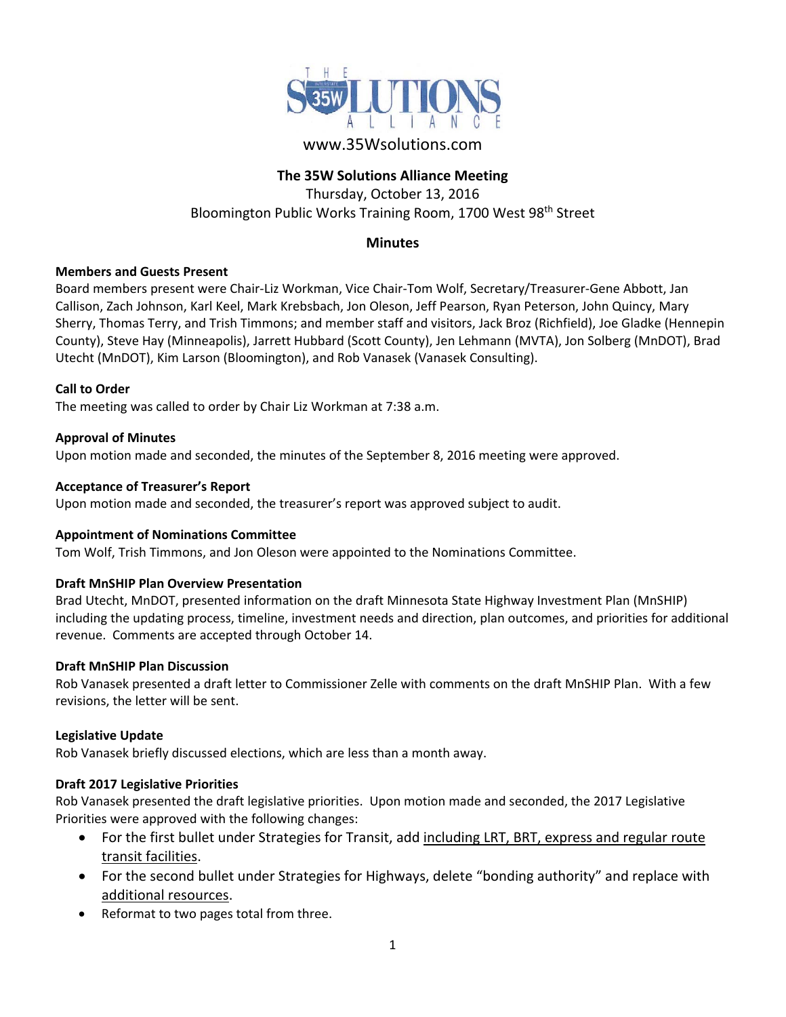

# www.35Wsolutions.com

# **The 35W Solutions Alliance Meeting**

Thursday, October 13, 2016 Bloomington Public Works Training Room, 1700 West 98<sup>th</sup> Street

# **Minutes**

### **Members and Guests Present**

Board members present were Chair‐Liz Workman, Vice Chair‐Tom Wolf, Secretary/Treasurer‐Gene Abbott, Jan Callison, Zach Johnson, Karl Keel, Mark Krebsbach, Jon Oleson, Jeff Pearson, Ryan Peterson, John Quincy, Mary Sherry, Thomas Terry, and Trish Timmons; and member staff and visitors, Jack Broz (Richfield), Joe Gladke (Hennepin County), Steve Hay (Minneapolis), Jarrett Hubbard (Scott County), Jen Lehmann (MVTA), Jon Solberg (MnDOT), Brad Utecht (MnDOT), Kim Larson (Bloomington), and Rob Vanasek (Vanasek Consulting).

#### **Call to Order**

The meeting was called to order by Chair Liz Workman at 7:38 a.m.

#### **Approval of Minutes**

Upon motion made and seconded, the minutes of the September 8, 2016 meeting were approved.

#### **Acceptance of Treasurer's Report**

Upon motion made and seconded, the treasurer's report was approved subject to audit.

#### **Appointment of Nominations Committee**

Tom Wolf, Trish Timmons, and Jon Oleson were appointed to the Nominations Committee.

### **Draft MnSHIP Plan Overview Presentation**

Brad Utecht, MnDOT, presented information on the draft Minnesota State Highway Investment Plan (MnSHIP) including the updating process, timeline, investment needs and direction, plan outcomes, and priorities for additional revenue. Comments are accepted through October 14.

#### **Draft MnSHIP Plan Discussion**

Rob Vanasek presented a draft letter to Commissioner Zelle with comments on the draft MnSHIP Plan. With a few revisions, the letter will be sent.

#### **Legislative Update**

Rob Vanasek briefly discussed elections, which are less than a month away.

### **Draft 2017 Legislative Priorities**

Rob Vanasek presented the draft legislative priorities. Upon motion made and seconded, the 2017 Legislative Priorities were approved with the following changes:

- For the first bullet under Strategies for Transit, add including LRT, BRT, express and regular route transit facilities.
- For the second bullet under Strategies for Highways, delete "bonding authority" and replace with additional resources.
- Reformat to two pages total from three.